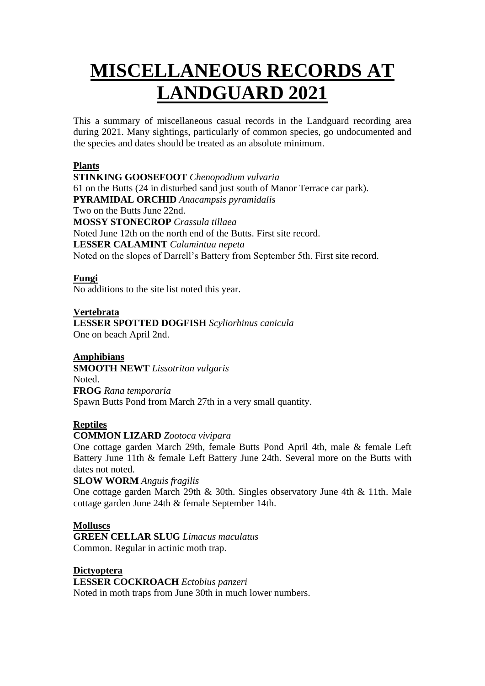# **MISCELLANEOUS RECORDS AT LANDGUARD 2021**

This a summary of miscellaneous casual records in the Landguard recording area during 2021. Many sightings, particularly of common species, go undocumented and the species and dates should be treated as an absolute minimum.

## **Plants**

**STINKING GOOSEFOOT** *Chenopodium vulvaria* 61 on the Butts (24 in disturbed sand just south of Manor Terrace car park). **PYRAMIDAL ORCHID** *Anacampsis pyramidalis* Two on the Butts June 22nd. **MOSSY STONECROP** *Crassula tillaea* Noted June 12th on the north end of the Butts. First site record. **LESSER CALAMINT** *Calamintua nepeta* Noted on the slopes of Darrell's Battery from September 5th. First site record.

## **Fungi**

No additions to the site list noted this year.

## **Vertebrata**

**LESSER SPOTTED DOGFISH** *Scyliorhinus canicula*

One on beach April 2nd.

## **Amphibians**

**SMOOTH NEWT** *Lissotriton vulgaris* Noted. **FROG** *Rana temporaria* Spawn Butts Pond from March 27th in a very small quantity.

## **Reptiles**

#### **COMMON LIZARD** *Zootoca vivipara*

One cottage garden March 29th, female Butts Pond April 4th, male & female Left Battery June 11th & female Left Battery June 24th. Several more on the Butts with dates not noted.

#### **SLOW WORM** *Anguis fragilis*

One cottage garden March 29th & 30th. Singles observatory June 4th & 11th. Male cottage garden June 24th & female September 14th.

#### **Molluscs**

**GREEN CELLAR SLUG** *Limacus maculatus* Common. Regular in actinic moth trap.

**Dictyoptera LESSER COCKROACH** *Ectobius panzeri* Noted in moth traps from June 30th in much lower numbers.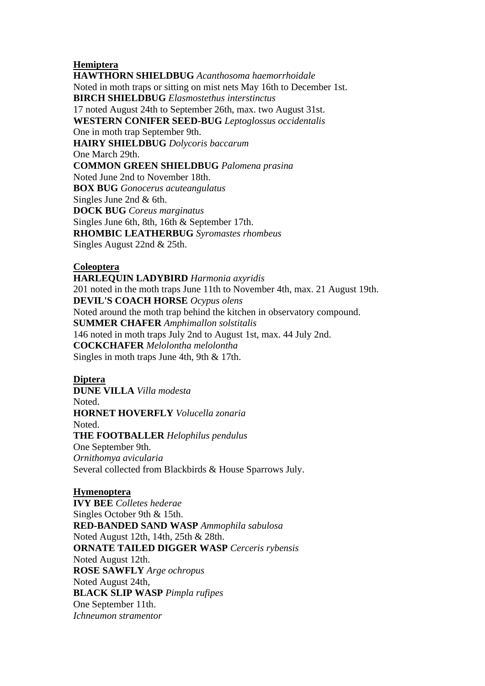### **Hemiptera**

**HAWTHORN SHIELDBUG** *Acanthosoma haemorrhoidale* Noted in moth traps or sitting on mist nets May 16th to December 1st. **BIRCH SHIELDBUG** *Elasmostethus interstinctus* 17 noted August 24th to September 26th, max. two August 31st. **WESTERN CONIFER SEED-BUG** *Leptoglossus occidentalis* One in moth trap September 9th. **HAIRY SHIELDBUG** *Dolycoris baccarum* One March 29th. **COMMON GREEN SHIELDBUG** *Palomena prasina* Noted June 2nd to November 18th. **BOX BUG** *Gonocerus acuteangulatus* Singles June 2nd & 6th. **DOCK BUG** *Coreus marginatus* Singles June 6th, 8th, 16th & September 17th. **RHOMBIC LEATHERBUG** *Syromastes rhombeus* Singles August 22nd & 25th.

### **Coleoptera**

**HARLEQUIN LADYBIRD** *Harmonia axyridis* 201 noted in the moth traps June 11th to November 4th, max. 21 August 19th. **DEVIL'S COACH HORSE** *Ocypus olens* Noted around the moth trap behind the kitchen in observatory compound. **SUMMER CHAFER** *Amphimallon solstitalis* 146 noted in moth traps July 2nd to August 1st, max. 44 July 2nd. **COCKCHAFER** *Melolontha melolontha* Singles in moth traps June 4th, 9th & 17th.

#### **Diptera**

**DUNE VILLA** *Villa modesta* Noted. **HORNET HOVERFLY** *Volucella zonaria* Noted. **THE FOOTBALLER** *Helophilus pendulus* One September 9th. *Ornithomya avicularia* Several collected from Blackbirds & House Sparrows July.

#### **Hymenoptera**

**IVY BEE** *Colletes hederae* Singles October 9th & 15th. **RED-BANDED SAND WASP** *Ammophila sabulosa* Noted August 12th, 14th, 25th & 28th. **ORNATE TAILED DIGGER WASP** *Cerceris rybensis* Noted August 12th. **ROSE SAWFLY** *Arge ochropus* Noted August 24th, **BLACK SLIP WASP** *Pimpla rufipes* One September 11th. *Ichneumon stramentor*